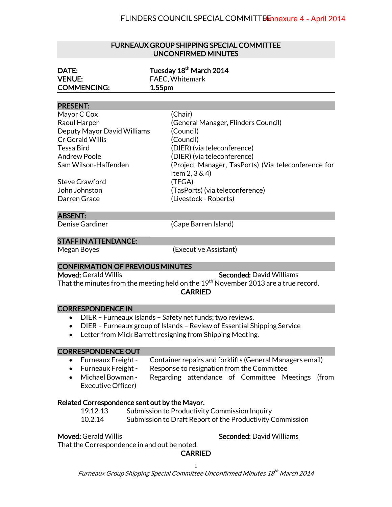#### FURNEAUX GROUP SHIPPING SPECIAL COMMITTEE UNCONFIRMED MINUTES

| DATE:              | Tuesday 18 <sup>th</sup> March 2014 |  |
|--------------------|-------------------------------------|--|
| <b>VENUE:</b>      | <b>FAEC, Whitemark</b>              |  |
| <b>COMMENCING:</b> | 1.55 <sub>pm</sub>                  |  |
|                    |                                     |  |

#### PRESENT:

| (Chair)                                             |
|-----------------------------------------------------|
| (General Manager, Flinders Council)                 |
| (Council)                                           |
| (Council)                                           |
| (DIER) (via teleconference)                         |
| (DIER) (via teleconference)                         |
| (Project Manager, TasPorts) (Via teleconference for |
| Item $2, 3 \& 4$ )                                  |
| (TFGA)                                              |
| (TasPorts) (via teleconference)                     |
| (Livestock - Roberts)                               |
|                                                     |

#### ABSENT:

Denise Gardiner (Cape Barren Island)

#### STAFF IN ATTENDANCE:

Megan Boyes (Executive Assistant)

## CONFIRMATION OF PREVIOUS MINUTES

Moved: Gerald Willis November 2012 Seconded: David Williams That the minutes from the meeting held on the  $19<sup>th</sup>$  November 2013 are a true record. **CARRIED** 

### CORRESPONDENCE IN

- DIER Furneaux Islands Safety net funds; two reviews.
- DIER Furneaux group of Islands Review of Essential Shipping Service
- Letter from Mick Barrett resigning from Shipping Meeting.

### CORRESPONDENCE OUT

- Furneaux Freight Container repairs and forklifts (General Managers email)
- Furneaux Freight Response to resignation from the Committee
- Michael Bowman Regarding attendance of Committee Meetings (from Executive Officer)

### Related Correspondence sent out by the Mayor.

 19.12.13 Submission to Productivity Commission Inquiry 10.2.14 Submission to Draft Report of the Productivity Commission

Moved: Gerald Willis News, 2008, Seconded: David Williams

That the Correspondence in and out be noted.

## CARRIED

Furneaux Group Shipping Special Committee Unconfirmed Minutes 18<sup>th</sup> March 2014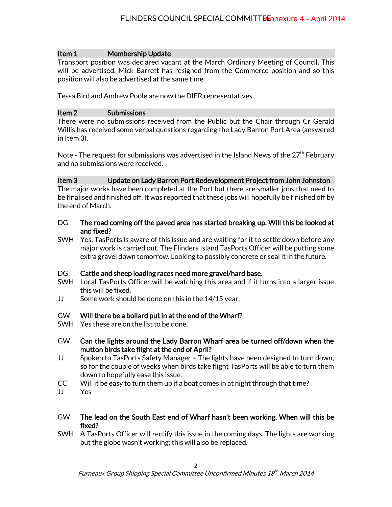## Item 1 Membership Update

Transport position was declared vacant at the March Ordinary Meeting of Council. This will be advertised. Mick Barrett has resigned from the Commerce position and so this position will also be advertised at the same time.

Tessa Bird and Andrew Poole are now the DIER representatives.

## Item 2 Submissions

There were no submissions received from the Public but the Chair through Cr Gerald Willis has received some verbal questions regarding the Lady Barron Port Area (answered in Item 3).

Note - The request for submissions was advertised in the Island News of the  $27<sup>th</sup>$  February and no submissions were received.

## Item 3 Update on Lady Barron Port Redevelopment Project from John Johnston

The major works have been completed at the Port but there are smaller jobs that need to be finalised and finished off. It was reported that these jobs will hopefully be finished off by the end of March.

- DG The road coming off the paved area has started breaking up. Will this be looked at and fixed?
- SWH Yes, TasPorts is aware of this issue and are waiting for it to settle down before any major work is carried out. The Flinders Island TasPorts Officer will be putting some extra gravel down tomorrow. Looking to possibly concrete or seal it in the future.

## DG Cattle and sheep loading races need more gravel/hard base.

- SWH Local TasPorts Officer will be watching this area and if it turns into a larger issue this will be fixed.
- JJ Some work should be done on this in the 14/15 year.

# GW Will there be a bollard put in at the end of the Wharf?

- SWH Yes these are on the list to be done.
- GW Can the lights around the Lady Barron Wharf area be turned off/down when the mutton birds take flight at the end of April?
- JJ Spoken to TasPorts Safety Manager The lights have been designed to turn down, so for the couple of weeks when birds take flight TasPorts will be able to turn them down to hopefully ease this issue.
- CC Will it be easy to turn them up if a boat comes in at night through that time?
- JJ Yes
- GW The lead on the South East end of Wharf hasn't been working. When will this be fixed?
- SWH A TasPorts Officer will rectify this issue in the coming days. The lights are working but the globe wasn't working; this will also be replaced.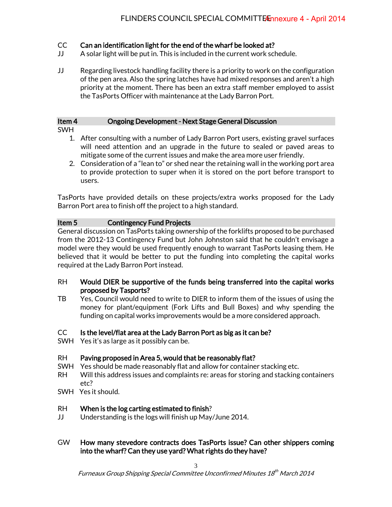# CC Can an identification light for the end of the wharf be looked at?

- JJ A solar light will be put in. This is included in the current work schedule.
- JJ Regarding livestock handling facility there is a priority to work on the configuration of the pen area. Also the spring latches have had mixed responses and aren't a high priority at the moment. There has been an extra staff member employed to assist the TasPorts Officer with maintenance at the Lady Barron Port.

# Item 4 Ongoing Development - Next Stage General Discussion

- SWH
	- 1. After consulting with a number of Lady Barron Port users, existing gravel surfaces will need attention and an upgrade in the future to sealed or paved areas to mitigate some of the current issues and make the area more user friendly.
	- 2. Consideration of a "lean to" or shed near the retaining wall in the working port area to provide protection to super when it is stored on the port before transport to users.

TasPorts have provided details on these projects/extra works proposed for the Lady Barron Port area to finish off the project to a high standard.

# Item 5 Contingency Fund Projects

General discussion on TasPorts taking ownership of the forklifts proposed to be purchased from the 2012-13 Contingency Fund but John Johnston said that he couldn't envisage a model were they would be used frequently enough to warrant TasPorts leasing them. He believed that it would be better to put the funding into completing the capital works required at the Lady Barron Port instead.

## RH Would DIER be supportive of the funds being transferred into the capital works proposed by Tasports?

TB Yes, Council would need to write to DIER to inform them of the issues of using the money for plant/equipment (Fork Lifts and Bull Boxes) and why spending the funding on capital works improvements would be a more considered approach.

# CC Is the level/flat area at the Lady Barron Port as big as it can be?

SWH Yes it's as large as it possibly can be.

# RH Paving proposed in Area 5, would that be reasonably flat?

- SWH Yes should be made reasonably flat and allow for container stacking etc.
- RH Will this address issues and complaints re: areas for storing and stacking containers etc?
- SWH Yes it should.

# RH When is the log carting estimated to finish?

- JJ Understanding is the logs will finish up May/June 2014.
- GW How many stevedore contracts does TasPorts issue? Can other shippers coming into the wharf? Can they use yard? What rights do they have?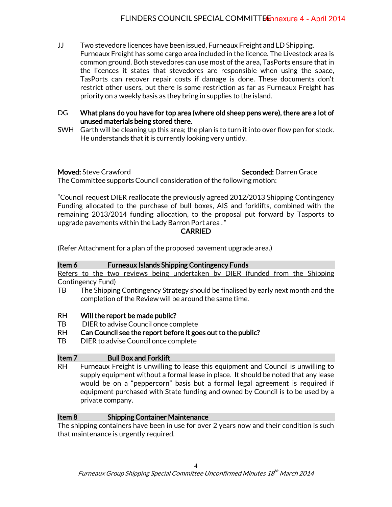- JJ Two stevedore licences have been issued, Furneaux Freight and LD Shipping. Furneaux Freight has some cargo area included in the licence. The Livestock area is common ground. Both stevedores can use most of the area, TasPorts ensure that in the licences it states that stevedores are responsible when using the space, TasPorts can recover repair costs if damage is done. These documents don't restrict other users, but there is some restriction as far as Furneaux Freight has priority on a weekly basis as they bring in supplies to the island.
- DG What plans do you have for top area (where old sheep pens were), there are a lot of unused materials being stored there.
- SWH Garth will be cleaning up this area; the plan is to turn it into over flow pen for stock. He understands that it is currently looking very untidy.

**Moved:** Steve Crawford **Seconded:** Darren Grace

The Committee supports Council consideration of the following motion:

"Council request DIER reallocate the previously agreed 2012/2013 Shipping Contingency Funding allocated to the purchase of bull boxes, AIS and forklifts, combined with the remaining 2013/2014 funding allocation, to the proposal put forward by Tasports to upgrade pavements within the Lady Barron Port area . "

## CARRIED

(Refer Attachment for a plan of the proposed pavement upgrade area.)

| Item 6            | <b>Furneaux Islands Shipping Contingency Funds</b>                                                                                                                                                                                                       |
|-------------------|----------------------------------------------------------------------------------------------------------------------------------------------------------------------------------------------------------------------------------------------------------|
|                   | Refers to the two reviews being undertaken by DIER (funded from the Shipping                                                                                                                                                                             |
|                   | <b>Contingency Fund)</b>                                                                                                                                                                                                                                 |
| TB                | The Shipping Contingency Strategy should be finalised by early next month and the<br>completion of the Review will be around the same time.                                                                                                              |
| <b>RH</b>         | Will the report be made public?                                                                                                                                                                                                                          |
| <b>TB</b>         | DIER to advise Council once complete                                                                                                                                                                                                                     |
| <b>RH</b>         | Can Council see the report before it goes out to the public?                                                                                                                                                                                             |
| <b>TB</b>         | DIER to advise Council once complete                                                                                                                                                                                                                     |
| Item <sub>7</sub> | <b>Bull Box and Forklift</b>                                                                                                                                                                                                                             |
| RH.               | Furneaux Freight is unwilling to lease this equipment and Council is unwilling to<br>supply equipment without a formal lease in place. It should be noted that any lease<br>would be on a "pennercorn" hasis but a formal legal agreement is required if |

I be on a "peppercorn" basis but a formal legal agreement is required if equipment purchased with State funding and owned by Council is to be used by a private company.

# Item 8 Shipping Container Maintenance

The shipping containers have been in use for over 2 years now and their condition is such that maintenance is urgently required.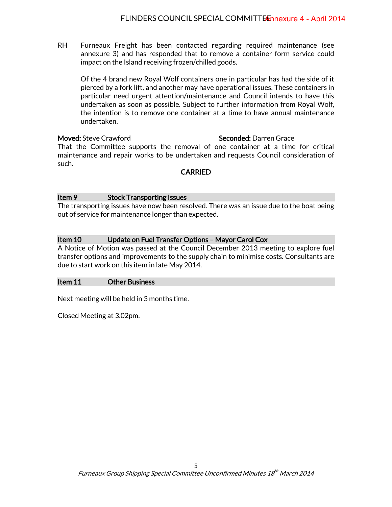RH Furneaux Freight has been contacted regarding required maintenance (see annexure 3) and has responded that to remove a container form service could impact on the Island receiving frozen/chilled goods.

Of the 4 brand new Royal Wolf containers one in particular has had the side of it pierced by a fork lift, and another may have operational issues. These containers in particular need urgent attention/maintenance and Council intends to have this undertaken as soon as possible. Subject to further information from Royal Wolf, the intention is to remove one container at a time to have annual maintenance undertaken.

#### Moved: Steve Crawford Seconded: Darren Grace

That the Committee supports the removal of one container at a time for critical maintenance and repair works to be undertaken and requests Council consideration of such.

## CARRIED

## Item 9 Stock Transporting Issues

The transporting issues have now been resolved. There was an issue due to the boat being out of service for maintenance longer than expected.

## Item 10 Update on Fuel Transfer Options – Mayor Carol Cox

A Notice of Motion was passed at the Council December 2013 meeting to explore fuel transfer options and improvements to the supply chain to minimise costs. Consultants are due to start work on this item in late May 2014.

## Item 11 Other Business

Next meeting will be held in 3 months time.

Closed Meeting at 3.02pm.